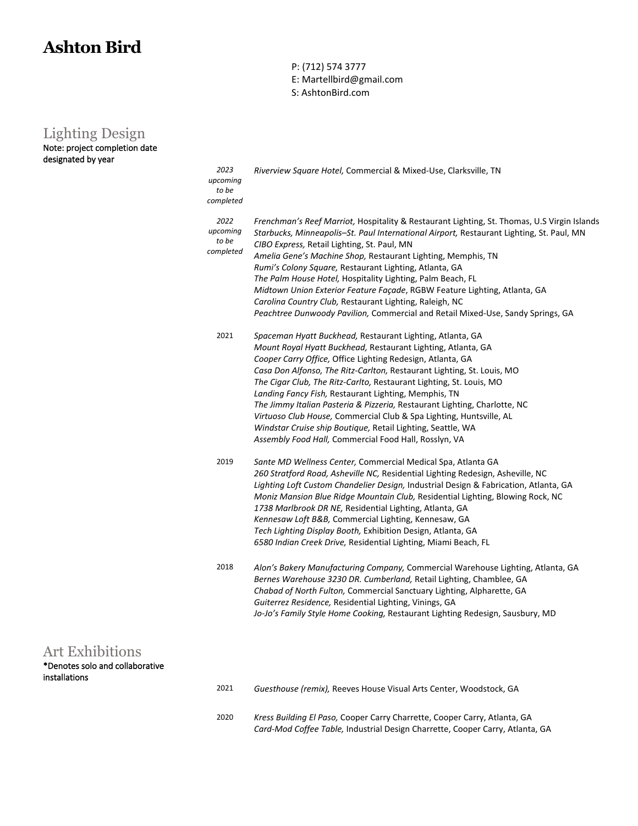## **Ashton Bird**

P: (712) 574 3777 E: Martellbird@gmail.com

S: AshtonBird.com

## Lighting Design

| Note: project completion date<br>designated by year                 |                                        |                                                                                                                                                                                                                                                                                                                                                                                                                                                                                                                                                                                                                                                                              |
|---------------------------------------------------------------------|----------------------------------------|------------------------------------------------------------------------------------------------------------------------------------------------------------------------------------------------------------------------------------------------------------------------------------------------------------------------------------------------------------------------------------------------------------------------------------------------------------------------------------------------------------------------------------------------------------------------------------------------------------------------------------------------------------------------------|
|                                                                     | 2023<br>upcoming<br>to be<br>completed | Riverview Square Hotel, Commercial & Mixed-Use, Clarksville, TN                                                                                                                                                                                                                                                                                                                                                                                                                                                                                                                                                                                                              |
|                                                                     | 2022<br>upcoming<br>to be<br>completed | Frenchman's Reef Marriot, Hospitality & Restaurant Lighting, St. Thomas, U.S Virgin Islands<br>Starbucks, Minneapolis-St. Paul International Airport, Restaurant Lighting, St. Paul, MN<br>CIBO Express, Retail Lighting, St. Paul, MN<br>Amelia Gene's Machine Shop, Restaurant Lighting, Memphis, TN<br>Rumi's Colony Square, Restaurant Lighting, Atlanta, GA<br>The Palm House Hotel, Hospitality Lighting, Palm Beach, FL<br>Midtown Union Exterior Feature Façade, RGBW Feature Lighting, Atlanta, GA<br>Carolina Country Club, Restaurant Lighting, Raleigh, NC<br>Peachtree Dunwoody Pavilion, Commercial and Retail Mixed-Use, Sandy Springs, GA                    |
|                                                                     | 2021                                   | Spaceman Hyatt Buckhead, Restaurant Lighting, Atlanta, GA<br>Mount Royal Hyatt Buckhead, Restaurant Lighting, Atlanta, GA<br>Cooper Carry Office, Office Lighting Redesign, Atlanta, GA<br>Casa Don Alfonso, The Ritz-Carlton, Restaurant Lighting, St. Louis, MO<br>The Cigar Club, The Ritz-Carlto, Restaurant Lighting, St. Louis, MO<br>Landing Fancy Fish, Restaurant Lighting, Memphis, TN<br>The Jimmy Italian Pasteria & Pizzeria, Restaurant Lighting, Charlotte, NC<br>Virtuoso Club House, Commercial Club & Spa Lighting, Huntsville, AL<br>Windstar Cruise ship Boutique, Retail Lighting, Seattle, WA<br>Assembly Food Hall, Commercial Food Hall, Rosslyn, VA |
|                                                                     | 2019                                   | Sante MD Wellness Center, Commercial Medical Spa, Atlanta GA<br>260 Stratford Road, Asheville NC, Residential Lighting Redesign, Asheville, NC<br>Lighting Loft Custom Chandelier Design, Industrial Design & Fabrication, Atlanta, GA<br>Moniz Mansion Blue Ridge Mountain Club, Residential Lighting, Blowing Rock, NC<br>1738 Marlbrook DR NE, Residential Lighting, Atlanta, GA<br>Kennesaw Loft B&B, Commercial Lighting, Kennesaw, GA<br>Tech Lighting Display Booth, Exhibition Design, Atlanta, GA<br>6580 Indian Creek Drive, Residential Lighting, Miami Beach, FL                                                                                                 |
|                                                                     | 2018                                   | Alon's Bakery Manufacturing Company, Commercial Warehouse Lighting, Atlanta, GA<br>Bernes Warehouse 3230 DR. Cumberland, Retail Lighting, Chamblee, GA<br>Chabad of North Fulton, Commercial Sanctuary Lighting, Alpharette, GA<br>Guiterrez Residence, Residential Lighting, Vinings, GA<br>Jo-Jo's Family Style Home Cooking, Restaurant Lighting Redesign, Sausbury, MD                                                                                                                                                                                                                                                                                                   |
| Art Exhibitions<br>*Denotes solo and collaborative<br>installations |                                        |                                                                                                                                                                                                                                                                                                                                                                                                                                                                                                                                                                                                                                                                              |
|                                                                     | 2021                                   | Guesthouse (remix), Reeves House Visual Arts Center, Woodstock, GA                                                                                                                                                                                                                                                                                                                                                                                                                                                                                                                                                                                                           |

2020 *Kress Building El Paso,* Cooper Carry Charrette, Cooper Carry, Atlanta, GA *Card-Mod Coffee Table,* Industrial Design Charrette, Cooper Carry, Atlanta, GA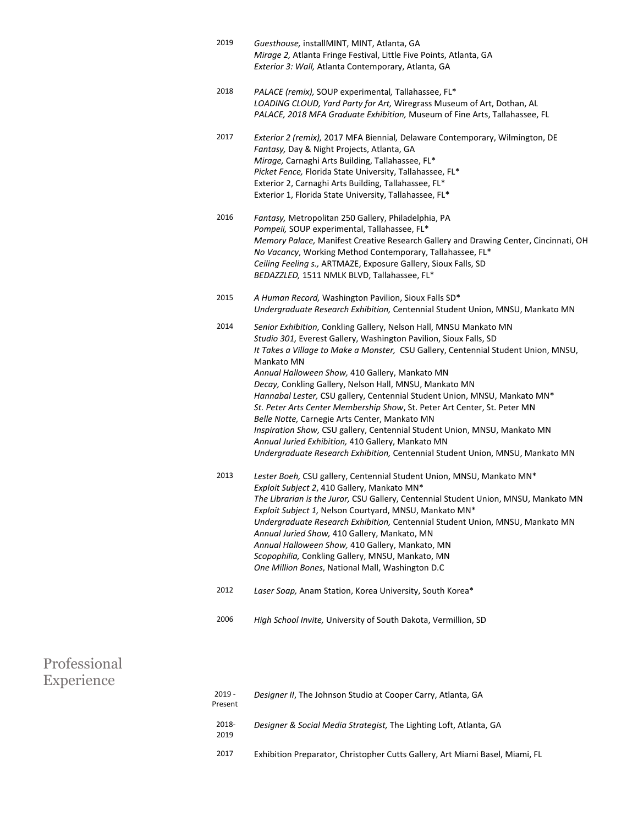| 2019 | Guesthouse, installMINT, MINT, Atlanta, GA                         |
|------|--------------------------------------------------------------------|
|      | Mirage 2, Atlanta Fringe Festival, Little Five Points, Atlanta, GA |
|      | Exterior 3: Wall, Atlanta Contemporary, Atlanta, GA                |

- 2018 *PALACE (remix),* SOUP experimental*,* Tallahassee, FL\* *LOADING CLOUD, Yard Party for Art,* Wiregrass Museum of Art, Dothan, AL *PALACE, 2018 MFA Graduate Exhibition,* Museum of Fine Arts, Tallahassee, FL
- 2017 *Exterior 2 (remix),* 2017 MFA Biennial*,* Delaware Contemporary, Wilmington, DE *Fantasy,* Day & Night Projects, Atlanta, GA *Mirage,* Carnaghi Arts Building, Tallahassee, FL\* *Picket Fence,* Florida State University, Tallahassee, FL\* Exterior 2, Carnaghi Arts Building, Tallahassee, FL\* Exterior 1, Florida State University, Tallahassee, FL\*
- 2016 *Fantasy,* Metropolitan 250 Gallery, Philadelphia, PA *Pompeii,* SOUP experimental, Tallahassee, FL\* *Memory Palace,* Manifest Creative Research Gallery and Drawing Center, Cincinnati, OH *No Vacancy*, Working Method Contemporary, Tallahassee, FL\* *Ceiling Feeling s.,* ARTMAZE, Exposure Gallery, Sioux Falls, SD *BEDAZZLED,* 1511 NMLK BLVD, Tallahassee, FL\*
- 2015 *A Human Record,* Washington Pavilion, Sioux Falls SD\* *Undergraduate Research Exhibition,* Centennial Student Union, MNSU, Mankato MN
- 2014 *Senior Exhibition,* Conkling Gallery, Nelson Hall, MNSU Mankato MN *Studio 301,* Everest Gallery, Washington Pavilion, Sioux Falls, SD *It Takes a Village to Make a Monster,* CSU Gallery, Centennial Student Union, MNSU, Mankato MN *Annual Halloween Show,* 410 Gallery, Mankato MN *Decay,* Conkling Gallery, Nelson Hall, MNSU, Mankato MN *Hannabal Lester,* CSU gallery, Centennial Student Union, MNSU, Mankato MN\* *St. Peter Arts Center Membership Show*, St. Peter Art Center, St. Peter MN *Belle Notte,* Carnegie Arts Center, Mankato MN *Inspiration Show,* CSU gallery, Centennial Student Union, MNSU, Mankato MN *Annual Juried Exhibition,* 410 Gallery, Mankato MN *Undergraduate Research Exhibition,* Centennial Student Union, MNSU, Mankato MN
- 2013 *Lester Boeh,* CSU gallery, Centennial Student Union, MNSU, Mankato MN\* *Exploit Subject 2*, 410 Gallery, Mankato MN\* *The Librarian is the Juror,* CSU Gallery, Centennial Student Union, MNSU, Mankato MN *Exploit Subject 1,* Nelson Courtyard, MNSU, Mankato MN\* *Undergraduate Research Exhibition,* Centennial Student Union, MNSU, Mankato MN *Annual Juried Show,* 410 Gallery, Mankato, MN *Annual Halloween Show,* 410 Gallery, Mankato, MN *Scopophilia,* Conkling Gallery, MNSU, Mankato, MN *One Million Bones*, National Mall, Washington D.C
- 2012 *Laser Soap,* Anam Station, Korea University, South Korea\*
- 2006 *High School Invite,* University of South Dakota, Vermillion, SD

| Professional<br>Experience |                     |                                                                              |
|----------------------------|---------------------|------------------------------------------------------------------------------|
|                            | $2019 -$<br>Present | Designer II, The Johnson Studio at Cooper Carry, Atlanta, GA                 |
|                            | 2018-<br>2019       | Designer & Social Media Strategist, The Lighting Loft, Atlanta, GA           |
|                            | 2017                | Exhibition Preparator, Christopher Cutts Gallery, Art Miami Basel, Miami, FL |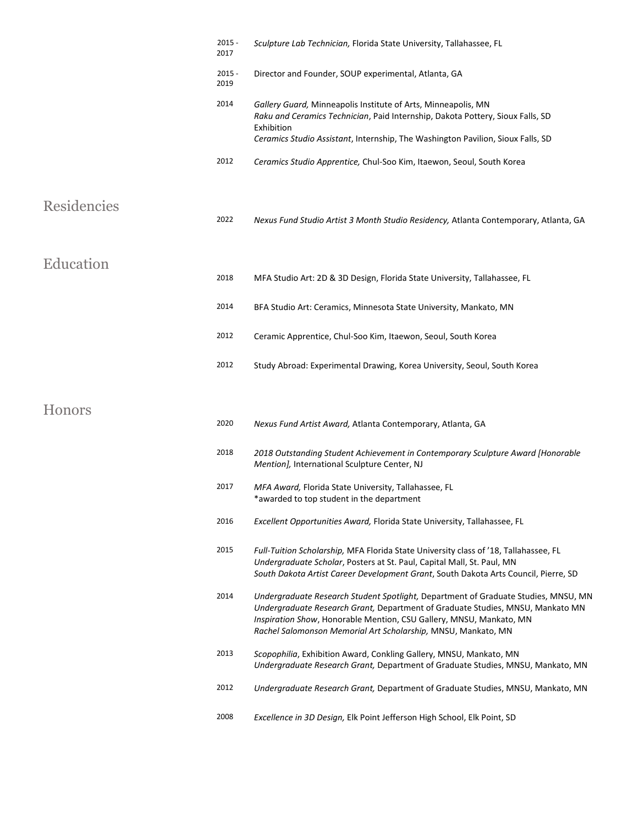|             | $2015 -$<br>2017 | Sculpture Lab Technician, Florida State University, Tallahassee, FL                                                                                                                                                                                                                                          |
|-------------|------------------|--------------------------------------------------------------------------------------------------------------------------------------------------------------------------------------------------------------------------------------------------------------------------------------------------------------|
|             | $2015 -$<br>2019 | Director and Founder, SOUP experimental, Atlanta, GA                                                                                                                                                                                                                                                         |
|             | 2014             | Gallery Guard, Minneapolis Institute of Arts, Minneapolis, MN<br>Raku and Ceramics Technician, Paid Internship, Dakota Pottery, Sioux Falls, SD<br>Exhibition<br>Ceramics Studio Assistant, Internship, The Washington Pavilion, Sioux Falls, SD                                                             |
|             | 2012             | Ceramics Studio Apprentice, Chul-Soo Kim, Itaewon, Seoul, South Korea                                                                                                                                                                                                                                        |
| Residencies |                  |                                                                                                                                                                                                                                                                                                              |
|             | 2022             | Nexus Fund Studio Artist 3 Month Studio Residency, Atlanta Contemporary, Atlanta, GA                                                                                                                                                                                                                         |
| Education   |                  |                                                                                                                                                                                                                                                                                                              |
|             | 2018             | MFA Studio Art: 2D & 3D Design, Florida State University, Tallahassee, FL                                                                                                                                                                                                                                    |
|             | 2014             | BFA Studio Art: Ceramics, Minnesota State University, Mankato, MN                                                                                                                                                                                                                                            |
|             | 2012             | Ceramic Apprentice, Chul-Soo Kim, Itaewon, Seoul, South Korea                                                                                                                                                                                                                                                |
|             | 2012             | Study Abroad: Experimental Drawing, Korea University, Seoul, South Korea                                                                                                                                                                                                                                     |
| Honors      |                  |                                                                                                                                                                                                                                                                                                              |
|             | 2020             | Nexus Fund Artist Award, Atlanta Contemporary, Atlanta, GA                                                                                                                                                                                                                                                   |
|             | 2018             | 2018 Outstanding Student Achievement in Contemporary Sculpture Award [Honorable<br>Mention], International Sculpture Center, NJ                                                                                                                                                                              |
|             | 2017             | MFA Award, Florida State University, Tallahassee, FL<br>*awarded to top student in the department                                                                                                                                                                                                            |
|             | 2016             | Excellent Opportunities Award, Florida State University, Tallahassee, FL                                                                                                                                                                                                                                     |
|             | 2015             | Full-Tuition Scholarship, MFA Florida State University class of '18, Tallahassee, FL<br>Undergraduate Scholar, Posters at St. Paul, Capital Mall, St. Paul, MN<br>South Dakota Artist Career Development Grant, South Dakota Arts Council, Pierre, SD                                                        |
|             | 2014             | Undergraduate Research Student Spotlight, Department of Graduate Studies, MNSU, MN<br>Undergraduate Research Grant, Department of Graduate Studies, MNSU, Mankato MN<br>Inspiration Show, Honorable Mention, CSU Gallery, MNSU, Mankato, MN<br>Rachel Salomonson Memorial Art Scholarship, MNSU, Mankato, MN |
|             | 2013             | Scopophilia, Exhibition Award, Conkling Gallery, MNSU, Mankato, MN<br>Undergraduate Research Grant, Department of Graduate Studies, MNSU, Mankato, MN                                                                                                                                                        |
|             | 2012             | Undergraduate Research Grant, Department of Graduate Studies, MNSU, Mankato, MN                                                                                                                                                                                                                              |
|             | 2008             | Excellence in 3D Design, Elk Point Jefferson High School, Elk Point, SD                                                                                                                                                                                                                                      |